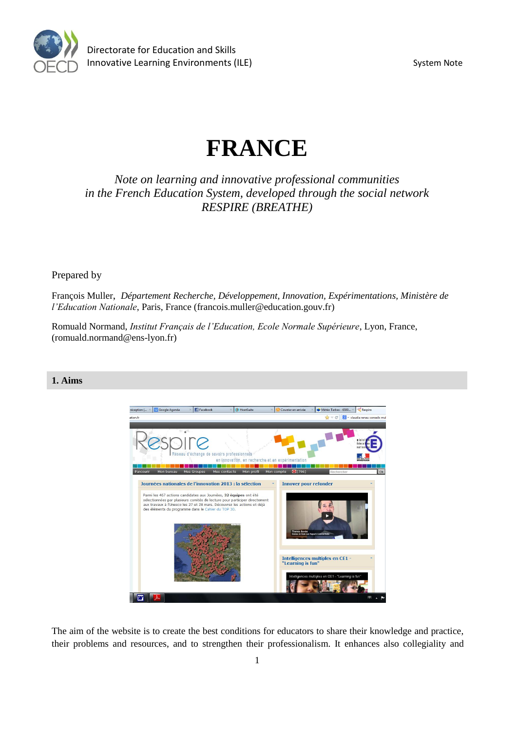

# **FRANCE**

*Note on learning and innovative professional communities in the French Education System, developed through the social network RESPIRE (BREATHE)*

Prepared by

François Muller, *Département Recherche, Développement, Innovation, Expérimentations, Ministère de l'Education Nationale*, Paris, France [\(francois.muller@education.gouv.fr\)](mailto:francois.muller@education.gouv.fr)

Romuald Normand, *Institut Français de l'Education, Ecole Normale Supérieure*, Lyon, France, [\(romuald.normand@ens-lyon.fr\)](mailto:romuald.normand@ens-lyon.fr)

## **1. Aims**



The aim of the website is to create the best conditions for educators to share their knowledge and practice, their problems and resources, and to strengthen their professionalism. It enhances also collegiality and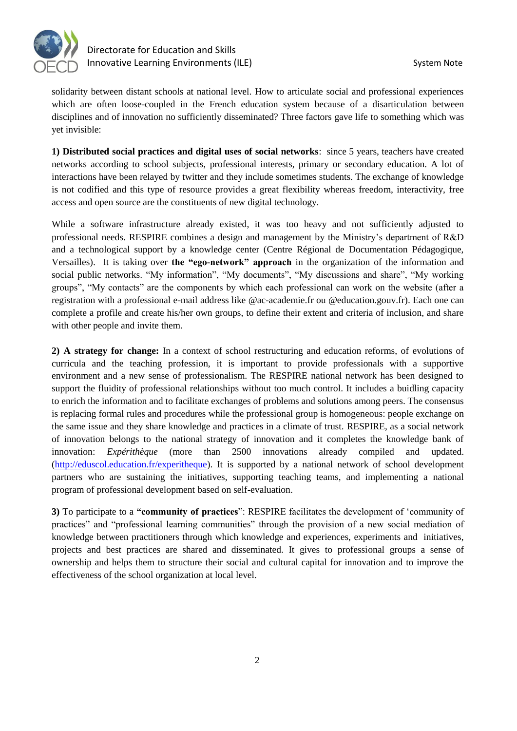

solidarity between distant schools at national level. How to articulate social and professional experiences which are often loose-coupled in the French education system because of a disarticulation between disciplines and of innovation no sufficiently disseminated? Three factors gave life to something which was yet invisible:

**1) Distributed social practices and digital uses of social networks**: since 5 years, teachers have created networks according to school subjects, professional interests, primary or secondary education. A lot of interactions have been relayed by twitter and they include sometimes students. The exchange of knowledge is not codified and this type of resource provides a great flexibility whereas freedom, interactivity, free access and open source are the constituents of new digital technology.

While a software infrastructure already existed, it was too heavy and not sufficiently adjusted to professional needs. RESPIRE combines a design and management by the Ministry's department of R&D and a technological support by a knowledge center (Centre Régional de Documentation Pédagogique, Versailles). It is taking over **the "ego-network" approach** in the organization of the information and social public networks. "My information", "My documents", "My discussions and share", "My working groups", "My contacts" are the components by which each professional can work on the website (after a registration with a professional e-mail address like @ac-academie.fr ou @education.gouv.fr). Each one can complete a profile and create his/her own groups, to define their extent and criteria of inclusion, and share with other people and invite them.

**2) A strategy for change:** In a context of school restructuring and education reforms, of evolutions of curricula and the teaching profession, it is important to provide professionals with a supportive environment and a new sense of professionalism. The RESPIRE national network has been designed to support the fluidity of professional relationships without too much control. It includes a buidling capacity to enrich the information and to facilitate exchanges of problems and solutions among peers. The consensus is replacing formal rules and procedures while the professional group is homogeneous: people exchange on the same issue and they share knowledge and practices in a climate of trust. RESPIRE, as a social network of innovation belongs to the national strategy of innovation and it completes the knowledge bank of innovation: *Expérithèque* (more than 2500 innovations already compiled and updated. [\(http://eduscol.education.fr/experitheque\)](http://eduscol.education.fr/experitheque). It is supported by a national network of school development partners who are sustaining the initiatives, supporting teaching teams, and implementing a national program of professional development based on self-evaluation.

**3)** To participate to a **"community of practices**": RESPIRE facilitates the development of 'community of practices" and "professional learning communities" through the provision of a new social mediation of knowledge between practitioners through which knowledge and experiences, experiments and initiatives, projects and best practices are shared and disseminated. It gives to professional groups a sense of ownership and helps them to structure their social and cultural capital for innovation and to improve the effectiveness of the school organization at local level.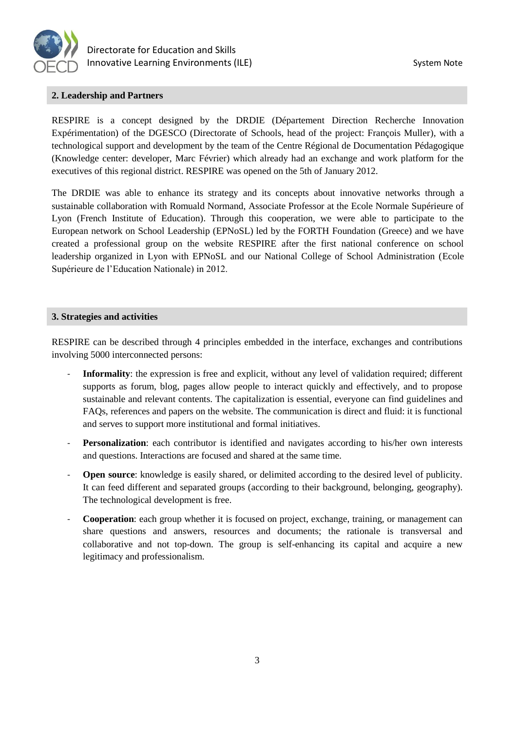

## **2. Leadership and Partners**

RESPIRE is a concept designed by the DRDIE (Département Direction Recherche Innovation Expérimentation) of the DGESCO (Directorate of Schools, head of the project: François Muller), with a technological support and development by the team of the Centre Régional de Documentation Pédagogique (Knowledge center: developer, Marc Février) which already had an exchange and work platform for the executives of this regional district. RESPIRE was opened on the 5th of January 2012.

The DRDIE was able to enhance its strategy and its concepts about innovative networks through a sustainable collaboration with Romuald Normand, Associate Professor at the Ecole Normale Supérieure of Lyon (French Institute of Education). Through this cooperation, we were able to participate to the European network on School Leadership (EPNoSL) led by the FORTH Foundation (Greece) and we have created a professional group on the website RESPIRE after the first national conference on school leadership organized in Lyon with EPNoSL and our National College of School Administration (Ecole Supérieure de l'Education Nationale) in 2012.

#### **3. Strategies and activities**

RESPIRE can be described through 4 principles embedded in the interface, exchanges and contributions involving 5000 interconnected persons:

- **Informality**: the expression is free and explicit, without any level of validation required; different supports as forum, blog, pages allow people to interact quickly and effectively, and to propose sustainable and relevant contents. The capitalization is essential, everyone can find guidelines and FAQs, references and papers on the website. The communication is direct and fluid: it is functional and serves to support more institutional and formal initiatives.
- **Personalization**: each contributor is identified and navigates according to his/her own interests and questions. Interactions are focused and shared at the same time.
- **Open source**: knowledge is easily shared, or delimited according to the desired level of publicity. It can feed different and separated groups (according to their background, belonging, geography). The technological development is free.
- **Cooperation**: each group whether it is focused on project, exchange, training, or management can share questions and answers, resources and documents; the rationale is transversal and collaborative and not top-down. The group is self-enhancing its capital and acquire a new legitimacy and professionalism.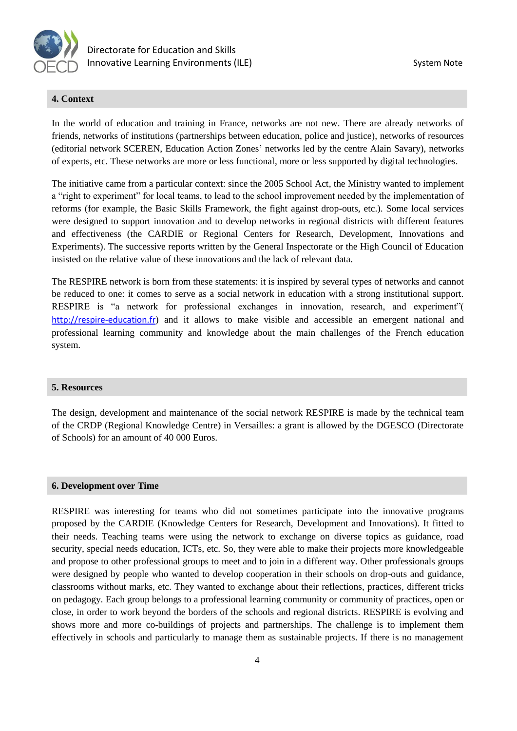

### **4. Context**

In the world of education and training in France, networks are not new. There are already networks of friends, networks of institutions (partnerships between education, police and justice), networks of resources (editorial network SCEREN, Education Action Zones' networks led by the centre Alain Savary), networks of experts, etc. These networks are more or less functional, more or less supported by digital technologies.

The initiative came from a particular context: since the 2005 School Act, the Ministry wanted to implement a "right to experiment" for local teams, to lead to the school improvement needed by the implementation of reforms (for example, the Basic Skills Framework, the fight against drop-outs, etc.). Some local services were designed to support innovation and to develop networks in regional districts with different features and effectiveness (the CARDIE or Regional Centers for Research, Development, Innovations and Experiments). The successive reports written by the General Inspectorate or the High Council of Education insisted on the relative value of these innovations and the lack of relevant data.

The RESPIRE network is born from these statements: it is inspired by several types of networks and cannot be reduced to one: it comes to serve as a social network in education with a strong institutional support. RESPIRE is "a network for professional exchanges in innovation, research, and experiment"( [http://respire-education.fr](http://respire-education.fr/)) and it allows to make visible and accessible an emergent national and professional learning community and knowledge about the main challenges of the French education system.

#### **5. Resources**

The design, development and maintenance of the social network RESPIRE is made by the technical team of the CRDP (Regional Knowledge Centre) in Versailles: a grant is allowed by the DGESCO (Directorate of Schools) for an amount of 40 000 Euros.

#### **6. Development over Time**

RESPIRE was interesting for teams who did not sometimes participate into the innovative programs proposed by the CARDIE (Knowledge Centers for Research, Development and Innovations). It fitted to their needs. Teaching teams were using the network to exchange on diverse topics as guidance, road security, special needs education, ICTs, etc. So, they were able to make their projects more knowledgeable and propose to other professional groups to meet and to join in a different way. Other professionals groups were designed by people who wanted to develop cooperation in their schools on drop-outs and guidance, classrooms without marks, etc. They wanted to exchange about their reflections, practices, different tricks on pedagogy. Each group belongs to a professional learning community or community of practices, open or close, in order to work beyond the borders of the schools and regional districts. RESPIRE is evolving and shows more and more co-buildings of projects and partnerships. The challenge is to implement them effectively in schools and particularly to manage them as sustainable projects. If there is no management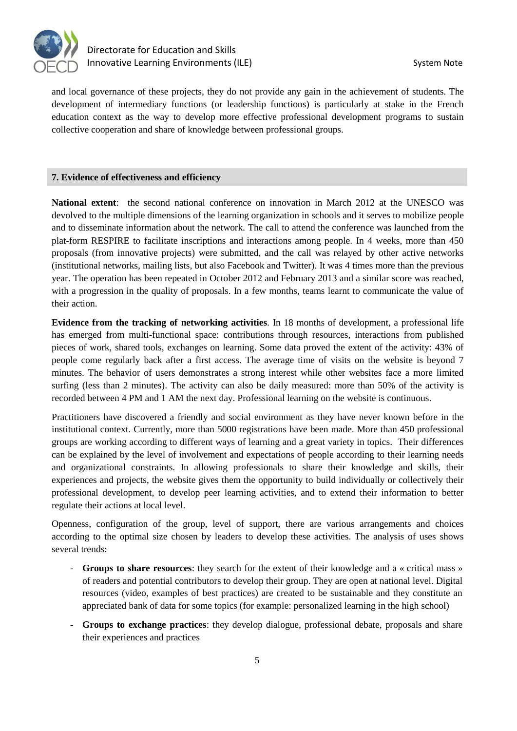

and local governance of these projects, they do not provide any gain in the achievement of students. The development of intermediary functions (or leadership functions) is particularly at stake in the French education context as the way to develop more effective professional development programs to sustain collective cooperation and share of knowledge between professional groups.

### **7. Evidence of effectiveness and efficiency**

**National extent**: the second national conference on innovation in March 2012 at the UNESCO was devolved to the multiple dimensions of the learning organization in schools and it serves to mobilize people and to disseminate information about the network. The call to attend the conference was launched from the plat-form RESPIRE to facilitate inscriptions and interactions among people. In 4 weeks, more than 450 proposals (from innovative projects) were submitted, and the call was relayed by other active networks (institutional networks, mailing lists, but also Facebook and Twitter). It was 4 times more than the previous year. The operation has been repeated in October 2012 and February 2013 and a similar score was reached, with a progression in the quality of proposals. In a few months, teams learnt to communicate the value of their action.

**Evidence from the tracking of networking activities***.* In 18 months of development, a professional life has emerged from multi-functional space: contributions through resources, interactions from published pieces of work, shared tools, exchanges on learning. Some data proved the extent of the activity: 43% of people come regularly back after a first access. The average time of visits on the website is beyond 7 minutes. The behavior of users demonstrates a strong interest while other websites face a more limited surfing (less than 2 minutes). The activity can also be daily measured: more than 50% of the activity is recorded between 4 PM and 1 AM the next day. Professional learning on the website is continuous.

Practitioners have discovered a friendly and social environment as they have never known before in the institutional context. Currently, more than 5000 registrations have been made. More than 450 professional groups are working according to different ways of learning and a great variety in topics. Their differences can be explained by the level of involvement and expectations of people according to their learning needs and organizational constraints. In allowing professionals to share their knowledge and skills, their experiences and projects, the website gives them the opportunity to build individually or collectively their professional development, to develop peer learning activities, and to extend their information to better regulate their actions at local level.

Openness, configuration of the group, level of support, there are various arrangements and choices according to the optimal size chosen by leaders to develop these activities. The analysis of uses shows several trends:

- **Groups to share resources**: they search for the extent of their knowledge and a « critical mass » of readers and potential contributors to develop their group. They are open at national level. Digital resources (video, examples of best practices) are created to be sustainable and they constitute an appreciated bank of data for some topics (for example: personalized learning in the high school)
- **Groups to exchange practices**: they develop dialogue, professional debate, proposals and share their experiences and practices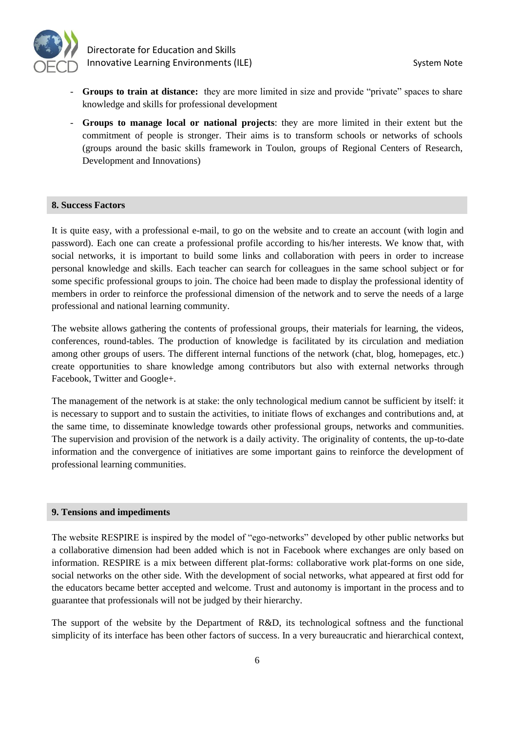

 Directorate for Education and Skills Innovative Learning Environments (ILE) System Note

- **Groups to train at distance:** they are more limited in size and provide "private" spaces to share knowledge and skills for professional development
- **Groups to manage local or national projects**: they are more limited in their extent but the commitment of people is stronger. Their aims is to transform schools or networks of schools (groups around the basic skills framework in Toulon, groups of Regional Centers of Research, Development and Innovations)

#### **8. Success Factors**

It is quite easy, with a professional e-mail, to go on the website and to create an account (with login and password). Each one can create a professional profile according to his/her interests. We know that, with social networks, it is important to build some links and collaboration with peers in order to increase personal knowledge and skills. Each teacher can search for colleagues in the same school subject or for some specific professional groups to join. The choice had been made to display the professional identity of members in order to reinforce the professional dimension of the network and to serve the needs of a large professional and national learning community.

The website allows gathering the contents of professional groups, their materials for learning, the videos, conferences, round-tables. The production of knowledge is facilitated by its circulation and mediation among other groups of users. The different internal functions of the network (chat, blog, homepages, etc.) create opportunities to share knowledge among contributors but also with external networks through Facebook, Twitter and Google+.

The management of the network is at stake: the only technological medium cannot be sufficient by itself: it is necessary to support and to sustain the activities, to initiate flows of exchanges and contributions and, at the same time, to disseminate knowledge towards other professional groups, networks and communities. The supervision and provision of the network is a daily activity. The originality of contents, the up-to-date information and the convergence of initiatives are some important gains to reinforce the development of professional learning communities.

#### **9. Tensions and impediments**

The website RESPIRE is inspired by the model of "ego-networks" developed by other public networks but a collaborative dimension had been added which is not in Facebook where exchanges are only based on information. RESPIRE is a mix between different plat-forms: collaborative work plat-forms on one side, social networks on the other side. With the development of social networks, what appeared at first odd for the educators became better accepted and welcome. Trust and autonomy is important in the process and to guarantee that professionals will not be judged by their hierarchy.

The support of the website by the Department of R&D, its technological softness and the functional simplicity of its interface has been other factors of success. In a very bureaucratic and hierarchical context,